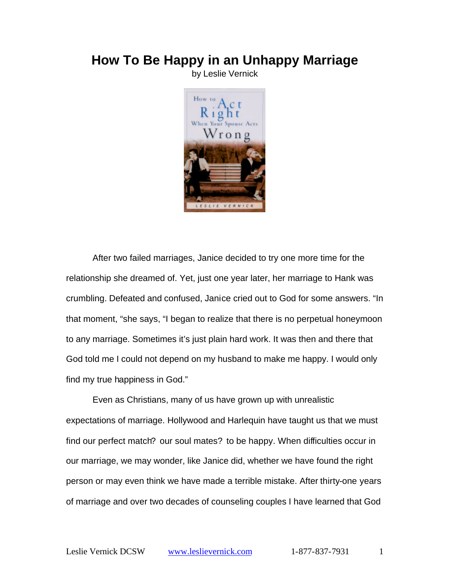## **How To Be Happy in an Unhappy Marriage**

by Leslie Vernick



After two failed marriages, Janice decided to try one more time for the relationship she dreamed of. Yet, just one year later, her marriage to Hank was crumbling. Defeated and confused, Janice cried out to God for some answers. "In that moment, "she says, "I began to realize that there is no perpetual honeymoon to any marriage. Sometimes it's just plain hard work. It was then and there that God told me I could not depend on my husband to make me happy. I would only find my true happiness in God."

Even as Christians, many of us have grown up with unrealistic expectations of marriage. Hollywood and Harlequin have taught us that we must find our perfect match? our soul mates? to be happy. When difficulties occur in our marriage, we may wonder, like Janice did, whether we have found the right person or may even think we have made a terrible mistake. After thirty-one years of marriage and over two decades of counseling couples I have learned that God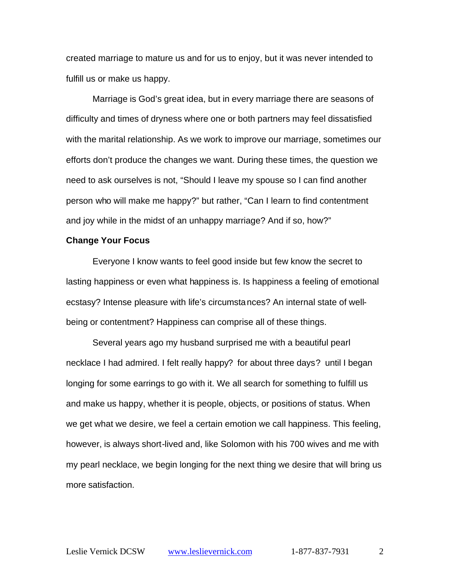created marriage to mature us and for us to enjoy, but it was never intended to fulfill us or make us happy.

Marriage is God's great idea, but in every marriage there are seasons of difficulty and times of dryness where one or both partners may feel dissatisfied with the marital relationship. As we work to improve our marriage, sometimes our efforts don't produce the changes we want. During these times, the question we need to ask ourselves is not, "Should I leave my spouse so I can find another person who will make me happy?" but rather, "Can I learn to find contentment and joy while in the midst of an unhappy marriage? And if so, how?"

## **Change Your Focus**

Everyone I know wants to feel good inside but few know the secret to lasting happiness or even what happiness is. Is happiness a feeling of emotional ecstasy? Intense pleasure with life's circumstances? An internal state of wellbeing or contentment? Happiness can comprise all of these things.

Several years ago my husband surprised me with a beautiful pearl necklace I had admired. I felt really happy? for about three days? until I began longing for some earrings to go with it. We all search for something to fulfill us and make us happy, whether it is people, objects, or positions of status. When we get what we desire, we feel a certain emotion we call happiness. This feeling, however, is always short-lived and, like Solomon with his 700 wives and me with my pearl necklace, we begin longing for the next thing we desire that will bring us more satisfaction.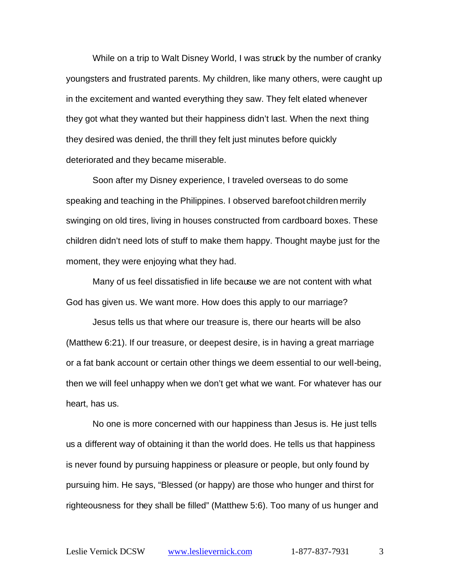While on a trip to Walt Disney World, I was struck by the number of cranky youngsters and frustrated parents. My children, like many others, were caught up in the excitement and wanted everything they saw. They felt elated whenever they got what they wanted but their happiness didn't last. When the next thing they desired was denied, the thrill they felt just minutes before quickly deteriorated and they became miserable.

Soon after my Disney experience, I traveled overseas to do some speaking and teaching in the Philippines. I observed barefoot children merrily swinging on old tires, living in houses constructed from cardboard boxes. These children didn't need lots of stuff to make them happy. Thought maybe just for the moment, they were enjoying what they had.

Many of us feel dissatisfied in life because we are not content with what God has given us. We want more. How does this apply to our marriage?

Jesus tells us that where our treasure is, there our hearts will be also (Matthew 6:21). If our treasure, or deepest desire, is in having a great marriage or a fat bank account or certain other things we deem essential to our well-being, then we will feel unhappy when we don't get what we want. For whatever has our heart, has us.

No one is more concerned with our happiness than Jesus is. He just tells us a different way of obtaining it than the world does. He tells us that happiness is never found by pursuing happiness or pleasure or people, but only found by pursuing him. He says, "Blessed (or happy) are those who hunger and thirst for righteousness for they shall be filled" (Matthew 5:6). Too many of us hunger and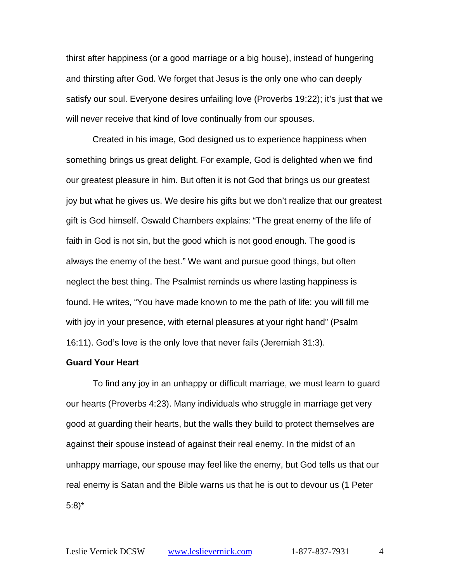thirst after happiness (or a good marriage or a big house), instead of hungering and thirsting after God. We forget that Jesus is the only one who can deeply satisfy our soul. Everyone desires unfailing love (Proverbs 19:22); it's just that we will never receive that kind of love continually from our spouses.

Created in his image, God designed us to experience happiness when something brings us great delight. For example, God is delighted when we find our greatest pleasure in him. But often it is not God that brings us our greatest joy but what he gives us. We desire his gifts but we don't realize that our greatest gift is God himself. Oswald Chambers explains: "The great enemy of the life of faith in God is not sin, but the good which is not good enough. The good is always the enemy of the best." We want and pursue good things, but often neglect the best thing. The Psalmist reminds us where lasting happiness is found. He writes, "You have made known to me the path of life; you will fill me with joy in your presence, with eternal pleasures at your right hand" (Psalm 16:11). God's love is the only love that never fails (Jeremiah 31:3).

## **Guard Your Heart**

To find any joy in an unhappy or difficult marriage, we must learn to guard our hearts (Proverbs 4:23). Many individuals who struggle in marriage get very good at guarding their hearts, but the walls they build to protect themselves are against their spouse instead of against their real enemy. In the midst of an unhappy marriage, our spouse may feel like the enemy, but God tells us that our real enemy is Satan and the Bible warns us that he is out to devour us (1 Peter 5:8)\*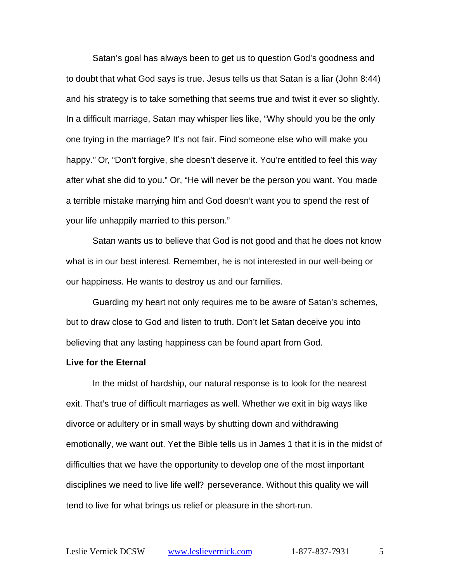Satan's goal has always been to get us to question God's goodness and to doubt that what God says is true. Jesus tells us that Satan is a liar (John 8:44) and his strategy is to take something that seems true and twist it ever so slightly. In a difficult marriage, Satan may whisper lies like, "Why should you be the only one trying in the marriage? It's not fair. Find someone else who will make you happy." Or, "Don't forgive, she doesn't deserve it. You're entitled to feel this way after what she did to you." Or, "He will never be the person you want. You made a terrible mistake marrying him and God doesn't want you to spend the rest of your life unhappily married to this person."

Satan wants us to believe that God is not good and that he does not know what is in our best interest. Remember, he is not interested in our well-being or our happiness. He wants to destroy us and our families.

Guarding my heart not only requires me to be aware of Satan's schemes, but to draw close to God and listen to truth. Don't let Satan deceive you into believing that any lasting happiness can be found apart from God.

## **Live for the Eternal**

In the midst of hardship, our natural response is to look for the nearest exit. That's true of difficult marriages as well. Whether we exit in big ways like divorce or adultery or in small ways by shutting down and withdrawing emotionally, we want out. Yet the Bible tells us in James 1 that it is in the midst of difficulties that we have the opportunity to develop one of the most important disciplines we need to live life well? perseverance. Without this quality we will tend to live for what brings us relief or pleasure in the short-run.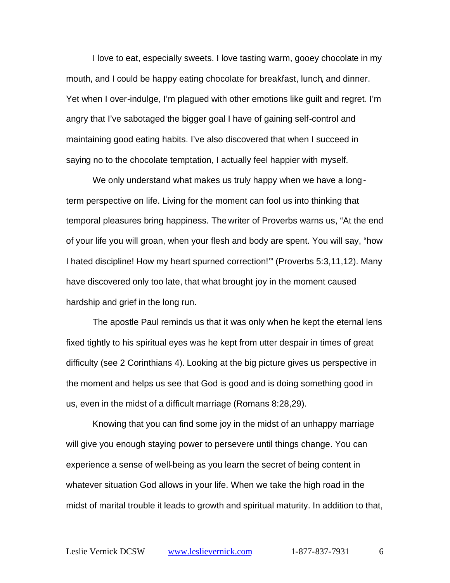I love to eat, especially sweets. I love tasting warm, gooey chocolate in my mouth, and I could be happy eating chocolate for breakfast, lunch, and dinner. Yet when I over-indulge, I'm plagued with other emotions like guilt and regret. I'm angry that I've sabotaged the bigger goal I have of gaining self-control and maintaining good eating habits. I've also discovered that when I succeed in saying no to the chocolate temptation, I actually feel happier with myself.

We only understand what makes us truly happy when we have a longterm perspective on life. Living for the moment can fool us into thinking that temporal pleasures bring happiness. The writer of Proverbs warns us, "At the end of your life you will groan, when your flesh and body are spent. You will say, "how I hated discipline! How my heart spurned correction!'" (Proverbs 5:3,11,12). Many have discovered only too late, that what brought joy in the moment caused hardship and grief in the long run.

The apostle Paul reminds us that it was only when he kept the eternal lens fixed tightly to his spiritual eyes was he kept from utter despair in times of great difficulty (see 2 Corinthians 4). Looking at the big picture gives us perspective in the moment and helps us see that God is good and is doing something good in us, even in the midst of a difficult marriage (Romans 8:28,29).

Knowing that you can find some joy in the midst of an unhappy marriage will give you enough staying power to persevere until things change. You can experience a sense of well-being as you learn the secret of being content in whatever situation God allows in your life. When we take the high road in the midst of marital trouble it leads to growth and spiritual maturity. In addition to that,